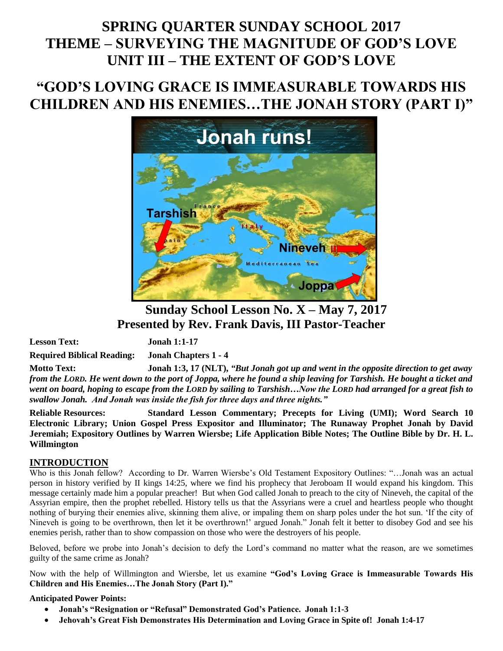# **SPRING QUARTER SUNDAY SCHOOL 2017 THEME – SURVEYING THE MAGNITUDE OF GOD'S LOVE UNIT III – THE EXTENT OF GOD'S LOVE**

# **"GOD'S LOVING GRACE IS IMMEASURABLE TOWARDS HIS CHILDREN AND HIS ENEMIES…THE JONAH STORY (PART I)"**



**Sunday School Lesson No. X – May 7, 2017 Presented by Rev. Frank Davis, III Pastor-Teacher**

**Lesson Text: Jonah 1:1-17**

**Required Biblical Reading: Jonah Chapters 1 - 4**

**Motto Text: Jonah 1:3, 17 (NLT),** *"But Jonah got up and went in the opposite direction to get away from the LORD. He went down to the port of Joppa, where he found a ship leaving for Tarshish. He bought a ticket and went on board, hoping to escape from the LORD by sailing to Tarshish…Now the LORD had arranged for a great fish to swallow Jonah. And Jonah was inside the fish for three days and three nights."*

**Reliable Resources: Standard Lesson Commentary; Precepts for Living (UMI); Word Search 10 Electronic Library; Union Gospel Press Expositor and Illuminator; The Runaway Prophet Jonah by David Jeremiah; Expository Outlines by Warren Wiersbe; Life Application Bible Notes; The Outline Bible by Dr. H. L. Willmington** 

### **INTRODUCTION**

Who is this Jonah fellow? According to Dr. Warren Wiersbe's Old Testament Expository Outlines: "…Jonah was an actual person in history verified by II kings 14:25, where we find his prophecy that Jeroboam II would expand his kingdom. This message certainly made him a popular preacher! But when God called Jonah to preach to the city of Nineveh, the capital of the Assyrian empire, then the prophet rebelled. History tells us that the Assyrians were a cruel and heartless people who thought nothing of burying their enemies alive, skinning them alive, or impaling them on sharp poles under the hot sun. 'If the city of Nineveh is going to be overthrown, then let it be overthrown!' argued Jonah." Jonah felt it better to disobey God and see his enemies perish, rather than to show compassion on those who were the destroyers of his people.

Beloved, before we probe into Jonah's decision to defy the Lord's command no matter what the reason, are we sometimes guilty of the same crime as Jonah?

Now with the help of Willmington and Wiersbe, let us examine **"God's Loving Grace is Immeasurable Towards His Children and His Enemies…The Jonah Story (Part I)."**

### **Anticipated Power Points:**

- **Jonah's "Resignation or "Refusal" Demonstrated God's Patience. Jonah 1:1-3**
- **Jehovah's Great Fish Demonstrates His Determination and Loving Grace in Spite of! Jonah 1:4-17**